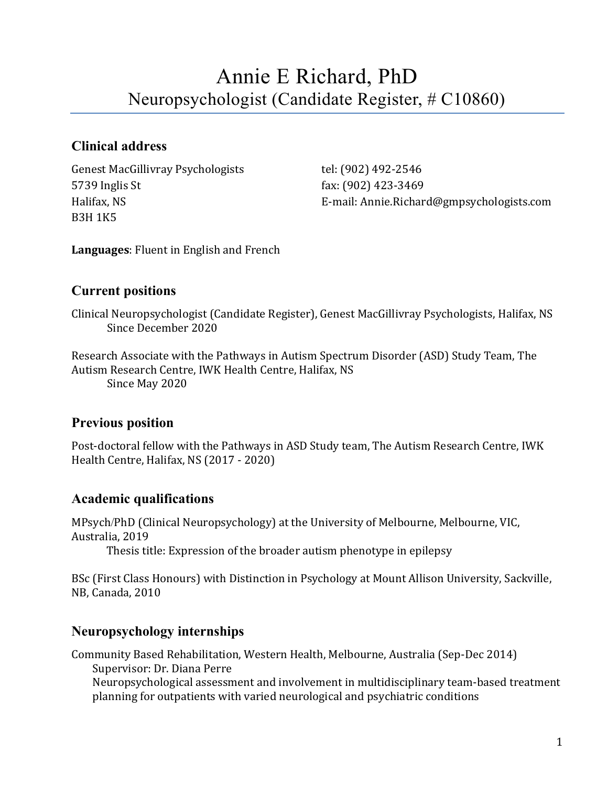# Annie E Richard, PhD Neuropsychologist (Candidate Register, # C10860)

# **Clinical address**

Genest MacGillivray Psychologists tel: (902) 492-2546 5739 Inglis St fax: (902) 423-3469 B3H 1K5

Halifax, NS E-mail: Annie.Richard@gmpsychologists.com

**Languages**: Fluent in English and French

# **Current positions**

Clinical Neuropsychologist (Candidate Register), Genest MacGillivray Psychologists, Halifax, NS Since December 2020

Research Associate with the Pathways in Autism Spectrum Disorder (ASD) Study Team, The Autism Research Centre, IWK Health Centre, Halifax, NS Since May 2020

# **Previous position**

Post-doctoral fellow with the Pathways in ASD Study team, The Autism Research Centre, IWK Health Centre, Halifax, NS (2017 - 2020)

# **Academic qualifications**

MPsych/PhD (Clinical Neuropsychology) at the University of Melbourne, Melbourne, VIC, Australia, 2019

Thesis title: Expression of the broader autism phenotype in epilepsy

BSc (First Class Honours) with Distinction in Psychology at Mount Allison University, Sackville, NB, Canada, 2010

# **Neuropsychology internships**

Community Based Rehabilitation, Western Health, Melbourne, Australia (Sep-Dec 2014) Supervisor: Dr. Diana Perre

Neuropsychological assessment and involvement in multidisciplinary team-based treatment planning for outpatients with varied neurological and psychiatric conditions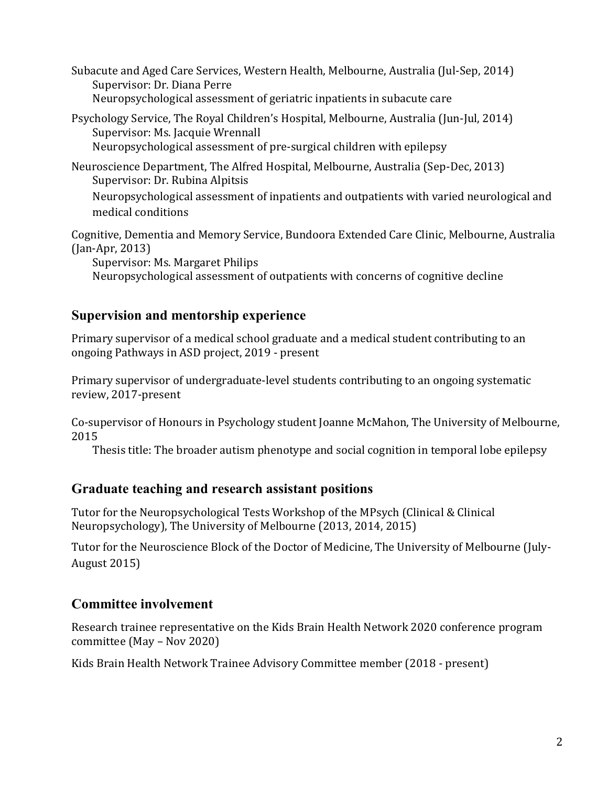Subacute and Aged Care Services, Western Health, Melbourne, Australia (Jul-Sep, 2014) Supervisor: Dr. Diana Perre Neuropsychological assessment of geriatric inpatients in subacute care

Psychology Service, The Royal Children's Hospital, Melbourne, Australia (Jun-Jul, 2014) Supervisor: Ms. Jacquie Wrennall Neuropsychological assessment of pre-surgical children with epilepsy

Neuroscience Department, The Alfred Hospital, Melbourne, Australia (Sep-Dec, 2013) Supervisor: Dr. Rubina Alpitsis Neuropsychological assessment of inpatients and outpatients with varied neurological and medical conditions

Cognitive, Dementia and Memory Service, Bundoora Extended Care Clinic, Melbourne, Australia (Jan-Apr, 2013)

Supervisor: Ms. Margaret Philips

Neuropsychological assessment of outpatients with concerns of cognitive decline

# **Supervision and mentorship experience**

Primary supervisor of a medical school graduate and a medical student contributing to an ongoing Pathways in ASD project, 2019 - present

Primary supervisor of undergraduate-level students contributing to an ongoing systematic review, 2017-present

Co-supervisor of Honours in Psychology student Joanne McMahon, The University of Melbourne, 2015

Thesis title: The broader autism phenotype and social cognition in temporal lobe epilepsy

#### **Graduate teaching and research assistant positions**

Tutor for the Neuropsychological Tests Workshop of the MPsych (Clinical & Clinical Neuropsychology), The University of Melbourne (2013, 2014, 2015)

Tutor for the Neuroscience Block of the Doctor of Medicine, The University of Melbourne (July-August 2015)

# **Committee involvement**

Research trainee representative on the Kids Brain Health Network 2020 conference program committee (May – Nov 2020)

Kids Brain Health Network Trainee Advisory Committee member (2018 - present)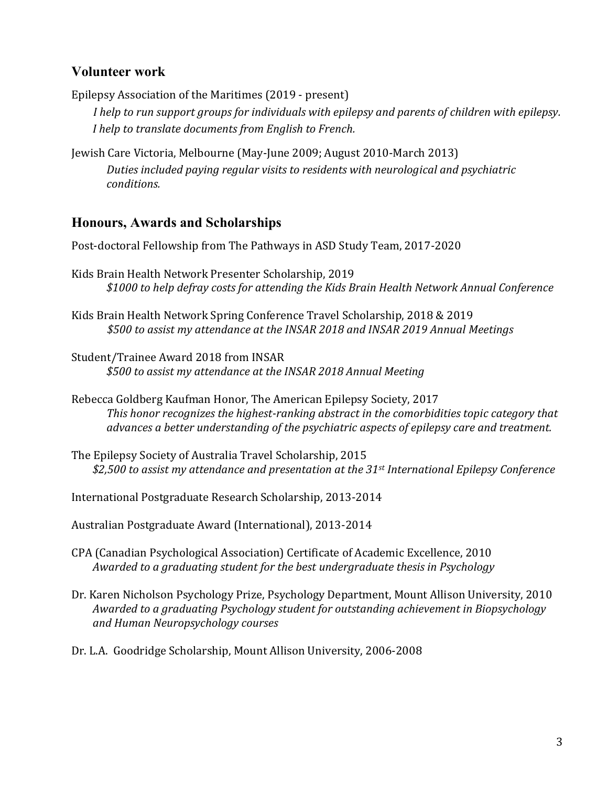## **Volunteer work**

Epilepsy Association of the Maritimes (2019 - present)

*I help to run support groups for individuals with epilepsy and parents of children with epilepsy. I help to translate documents from English to French.*

Jewish Care Victoria, Melbourne (May-June 2009; August 2010-March 2013) *Duties included paying regular visits to residents with neurological and psychiatric conditions.*

## **Honours, Awards and Scholarships**

Post-doctoral Fellowship from The Pathways in ASD Study Team, 2017-2020

- Kids Brain Health Network Presenter Scholarship, 2019 *\$1000 to help defray costs for attending the Kids Brain Health Network Annual Conference*
- Kids Brain Health Network Spring Conference Travel Scholarship, 2018 & 2019 *\$500 to assist my attendance at the INSAR 2018 and INSAR 2019 Annual Meetings*
- Student/Trainee Award 2018 from INSAR *\$500 to assist my attendance at the INSAR 2018 Annual Meeting*
- Rebecca Goldberg Kaufman Honor, The American Epilepsy Society, 2017 *This honor recognizes the highest-ranking abstract in the comorbidities topic category that advances a better understanding of the psychiatric aspects of epilepsy care and treatment.*
- The Epilepsy Society of Australia Travel Scholarship, 2015 *\$2,500 to assist my attendance and presentation at the 31st International Epilepsy Conference*
- International Postgraduate Research Scholarship, 2013-2014

Australian Postgraduate Award (International), 2013-2014

- CPA (Canadian Psychological Association) Certificate of Academic Excellence, 2010 *Awarded to a graduating student for the best undergraduate thesis in Psychology*
- Dr. Karen Nicholson Psychology Prize, Psychology Department, Mount Allison University, 2010 *Awarded to a graduating Psychology student for outstanding achievement in Biopsychology and Human Neuropsychology courses*
- Dr. L.A. Goodridge Scholarship, Mount Allison University, 2006-2008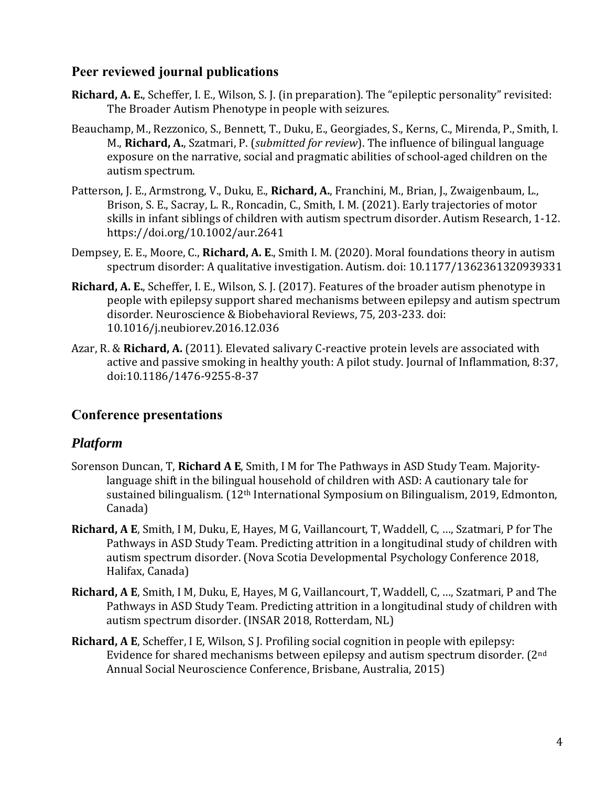## **Peer reviewed journal publications**

- **Richard, A. E.**, Scheffer, I. E., Wilson, S. J. (in preparation). The "epileptic personality" revisited: The Broader Autism Phenotype in people with seizures.
- Beauchamp, M., Rezzonico, S., Bennett, T., Duku, E., Georgiades, S., Kerns, C., Mirenda, P., Smith, I. M., **Richard, A.**, Szatmari, P. (*submitted for review*). The influence of bilingual language exposure on the narrative, social and pragmatic abilities of school-aged children on the autism spectrum.
- Patterson, J. E., Armstrong, V., Duku, E., **Richard, A.**, Franchini, M., Brian, J., Zwaigenbaum, L., Brison, S. E., Sacray, L. R., Roncadin, C., Smith, I. M. (2021). Early trajectories of motor skills in infant siblings of children with autism spectrum disorder. Autism Research, 1-12. https://doi.org/10.1002/aur.2641
- Dempsey, E. E., Moore, C., **Richard, A. E**., Smith I. M. (2020). Moral foundations theory in autism spectrum disorder: A qualitative investigation. Autism. doi: 10.1177/1362361320939331
- **Richard, A. E.**, Scheffer, I. E., Wilson, S. J. (2017). Features of the broader autism phenotype in people with epilepsy support shared mechanisms between epilepsy and autism spectrum disorder. Neuroscience & Biobehavioral Reviews, 75, 203-233. doi: 10.1016/j.neubiorev.2016.12.036
- Azar, R. & **Richard, A.** (2011). Elevated salivary C-reactive protein levels are associated with active and passive smoking in healthy youth: A pilot study. Journal of Inflammation, 8:37, doi:10.1186/1476-9255-8-37

#### **Conference presentations**

#### *Platform*

- Sorenson Duncan, T, **Richard A E**, Smith, I M for The Pathways in ASD Study Team. Majoritylanguage shift in the bilingual household of children with ASD: A cautionary tale for sustained bilingualism. (12th International Symposium on Bilingualism, 2019, Edmonton, Canada)
- **Richard, A E**, Smith, I M, Duku, E, Hayes, M G, Vaillancourt, T, Waddell, C, …, Szatmari, P for The Pathways in ASD Study Team. Predicting attrition in a longitudinal study of children with autism spectrum disorder. (Nova Scotia Developmental Psychology Conference 2018, Halifax, Canada)
- **Richard, A E**, Smith, I M, Duku, E, Hayes, M G, Vaillancourt, T, Waddell, C, …, Szatmari, P and The Pathways in ASD Study Team. Predicting attrition in a longitudinal study of children with autism spectrum disorder. (INSAR 2018, Rotterdam, NL)
- **Richard, A E**, Scheffer, I E, Wilson, S J. Profiling social cognition in people with epilepsy: Evidence for shared mechanisms between epilepsy and autism spectrum disorder. (2nd Annual Social Neuroscience Conference, Brisbane, Australia, 2015)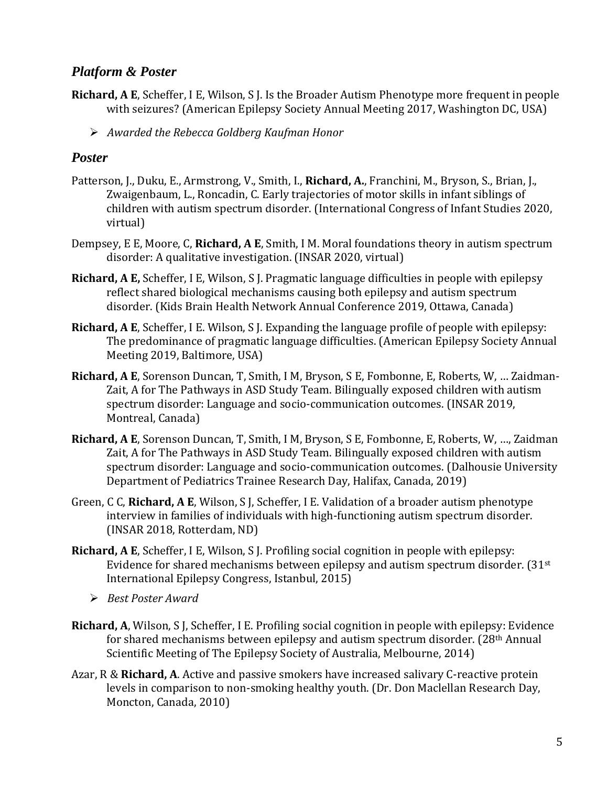#### *Platform & Poster*

- **Richard, A E**, Scheffer, I E, Wilson, S J. Is the Broader Autism Phenotype more frequent in people with seizures? (American Epilepsy Society Annual Meeting 2017, Washington DC, USA)
	- ➢ *Awarded the Rebecca Goldberg Kaufman Honor*

#### *Poster*

- Patterson, J., Duku, E., Armstrong, V., Smith, I., **Richard, A.**, Franchini, M., Bryson, S., Brian, J., Zwaigenbaum, L., Roncadin, C. Early trajectories of motor skills in infant siblings of children with autism spectrum disorder. (International Congress of Infant Studies 2020, virtual)
- Dempsey, E E, Moore, C, **Richard, A E**, Smith, I M. Moral foundations theory in autism spectrum disorder: A qualitative investigation. (INSAR 2020, virtual)
- **Richard, A E,** Scheffer, I E, Wilson, S J. Pragmatic language difficulties in people with epilepsy reflect shared biological mechanisms causing both epilepsy and autism spectrum disorder. (Kids Brain Health Network Annual Conference 2019, Ottawa, Canada)
- **Richard, A E**, Scheffer, I E. Wilson, S J. Expanding the language profile of people with epilepsy: The predominance of pragmatic language difficulties. (American Epilepsy Society Annual Meeting 2019, Baltimore, USA)
- **Richard, A E**, Sorenson Duncan, T, Smith, I M, Bryson, S E, Fombonne, E, Roberts, W, … Zaidman-Zait, A for The Pathways in ASD Study Team. Bilingually exposed children with autism spectrum disorder: Language and socio-communication outcomes. (INSAR 2019, Montreal, Canada)
- **Richard, A E**, Sorenson Duncan, T, Smith, I M, Bryson, S E, Fombonne, E, Roberts, W, …, Zaidman Zait, A for The Pathways in ASD Study Team. Bilingually exposed children with autism spectrum disorder: Language and socio-communication outcomes. (Dalhousie University Department of Pediatrics Trainee Research Day, Halifax, Canada, 2019)
- Green, C C, **Richard, A E**, Wilson, S J, Scheffer, I E. Validation of a broader autism phenotype interview in families of individuals with high-functioning autism spectrum disorder. (INSAR 2018, Rotterdam, ND)
- **Richard, A E**, Scheffer, I E, Wilson, S J. Profiling social cognition in people with epilepsy: Evidence for shared mechanisms between epilepsy and autism spectrum disorder. (31st International Epilepsy Congress, Istanbul, 2015)
	- ➢ *Best Poster Award*
- **Richard, A**, Wilson, S J, Scheffer, I E. Profiling social cognition in people with epilepsy: Evidence for shared mechanisms between epilepsy and autism spectrum disorder. (28th Annual Scientific Meeting of The Epilepsy Society of Australia, Melbourne, 2014)
- Azar, R & **Richard, A**. Active and passive smokers have increased salivary C-reactive protein levels in comparison to non-smoking healthy youth. (Dr. Don Maclellan Research Day, Moncton, Canada, 2010)